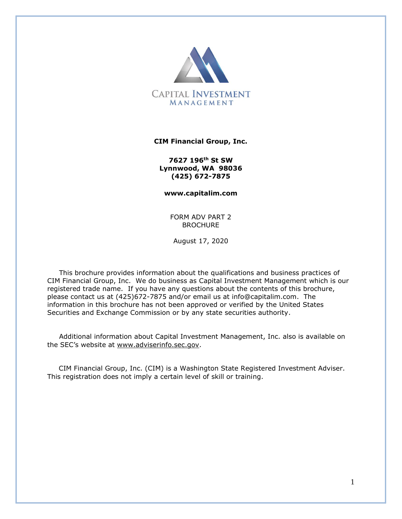

#### **CIM Financial Group, Inc.**

**7627 196th St SW Lynnwood, WA 98036 (425) 672-7875**

**www.capitalim.com**

FORM ADV PART 2 **BROCHURE** 

August 17, 2020

This brochure provides information about the qualifications and business practices of CIM Financial Group, Inc. We do business as Capital Investment Management which is our registered trade name. If you have any questions about the contents of this brochure, please contact us at (425)672-7875 and/or email us at [info@capitalim.com.](mailto:info@capitalim.com) The information in this brochure has not been approved or verified by the United States Securities and Exchange Commission or by any state securities authority.

Additional information about Capital Investment Management, Inc. also is available on the SEC's website at [www.adviserinfo.sec.gov.](http://www.adviserinfo.sec.gov/)

 CIM Financial Group, Inc. (CIM) is a Washington State Registered Investment Adviser. This registration does not imply a certain level of skill or training.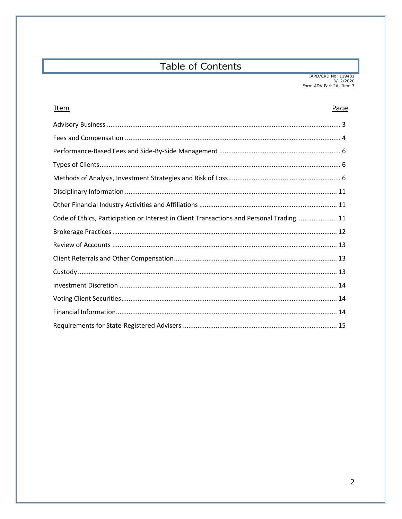# **Table of Contents**

| <u>Item</u>                                                                              | Page |
|------------------------------------------------------------------------------------------|------|
|                                                                                          |      |
|                                                                                          |      |
|                                                                                          |      |
|                                                                                          |      |
|                                                                                          |      |
|                                                                                          |      |
|                                                                                          |      |
| Code of Ethics, Participation or Interest in Client Transactions and Personal Trading 11 |      |
|                                                                                          |      |
|                                                                                          |      |
|                                                                                          |      |
|                                                                                          |      |
|                                                                                          |      |
|                                                                                          |      |
|                                                                                          |      |
|                                                                                          |      |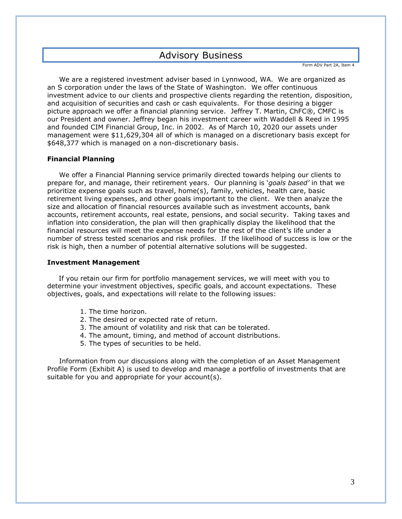# Advisory Business

Form ADV Part 2A, Item 4

We are a registered investment adviser based in Lynnwood, WA. We are organized as an S corporation under the laws of the State of Washington. We offer continuous investment advice to our clients and prospective clients regarding the retention, disposition, and acquisition of securities and cash or cash equivalents. For those desiring a bigger picture approach we offer a financial planning service. Jeffrey T. Martin, ChFC®, CMFC is our President and owner. Jeffrey began his investment career with Waddell & Reed in 1995 and founded CIM Financial Group, Inc. in 2002. As of March 10, 2020 our assets under management were \$11,629,304 all of which is managed on a discretionary basis except for \$648,377 which is managed on a non-discretionary basis.

#### **Financial Planning**

We offer a Financial Planning service primarily directed towards helping our clients to prepare for, and manage, their retirement years. Our planning is '*goals based'* in that we prioritize expense goals such as travel, home(s), family, vehicles, health care, basic retirement living expenses, and other goals important to the client. We then analyze the size and allocation of financial resources available such as investment accounts, bank accounts, retirement accounts, real estate, pensions, and social security. Taking taxes and inflation into consideration, the plan will then graphically display the likelihood that the financial resources will meet the expense needs for the rest of the client's life under a number of stress tested scenarios and risk profiles. If the likelihood of success is low or the risk is high, then a number of potential alternative solutions will be suggested.

#### **Investment Management**

 If you retain our firm for portfolio management services, we will meet with you to determine your investment objectives, specific goals, and account expectations. These objectives, goals, and expectations will relate to the following issues:

- 1. The time horizon.
- 2. The desired or expected rate of return.
- 3. The amount of volatility and risk that can be tolerated.
- 4. The amount, timing, and method of account distributions.
- 5. The types of securities to be held.

Information from our discussions along with the completion of an Asset Management Profile Form (Exhibit A) is used to develop and manage a portfolio of investments that are suitable for you and appropriate for your account(s).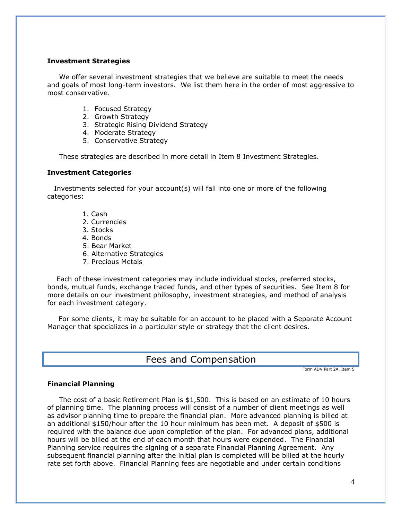#### **Investment Strategies**

We offer several investment strategies that we believe are suitable to meet the needs and goals of most long-term investors. We list them here in the order of most aggressive to most conservative.

- 1. Focused Strategy
- 2. Growth Strategy
- 3. Strategic Rising Dividend Strategy
- 4. Moderate Strategy
- 5. Conservative Strategy

These strategies are described in more detail in Item 8 Investment Strategies.

#### **Investment Categories**

 Investments selected for your account(s) will fall into one or more of the following categories:

- 1. Cash
- 2. Currencies
- 3. Stocks
- 4. Bonds
- 5. Bear Market
- 6. Alternative Strategies
- 7. Precious Metals

 Each of these investment categories may include individual stocks, preferred stocks, bonds, mutual funds, exchange traded funds, and other types of securities. See Item 8 for more details on our investment philosophy, investment strategies, and method of analysis for each investment category.

 For some clients, it may be suitable for an account to be placed with a Separate Account Manager that specializes in a particular style or strategy that the client desires.

# Fees and Compensation

Form ADV Part 2A, Item 5

#### **Financial Planning**

The cost of a basic Retirement Plan is \$1,500. This is based on an estimate of 10 hours of planning time. The planning process will consist of a number of client meetings as well as advisor planning time to prepare the financial plan. More advanced planning is billed at an additional \$150/hour after the 10 hour minimum has been met. A deposit of \$500 is required with the balance due upon completion of the plan. For advanced plans, additional hours will be billed at the end of each month that hours were expended. The Financial Planning service requires the signing of a separate Financial Planning Agreement. Any subsequent financial planning after the initial plan is completed will be billed at the hourly rate set forth above. Financial Planning fees are negotiable and under certain conditions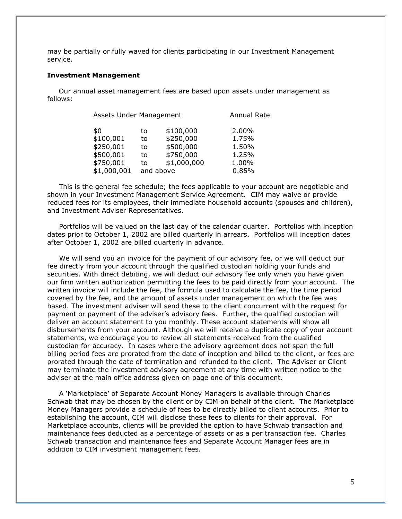may be partially or fully waved for clients participating in our Investment Management service.

#### **Investment Management**

 Our annual asset management fees are based upon assets under management as follows:

| Assets Under Management |    |             | <b>Annual Rate</b> |  |
|-------------------------|----|-------------|--------------------|--|
| \$0                     | to | \$100,000   | 2.00%              |  |
| \$100,001               | to | \$250,000   | 1.75%              |  |
| \$250,001               | to | \$500,000   | 1.50%              |  |
| \$500,001               | to | \$750,000   | 1.25%              |  |
| \$750,001               | to | \$1,000,000 | 1.00%              |  |
| \$1,000,001             |    | and above   | 0.85%              |  |

This is the general fee schedule; the fees applicable to your account are negotiable and shown in your Investment Management Service Agreement. CIM may waive or provide reduced fees for its employees, their immediate household accounts (spouses and children), and Investment Adviser Representatives.

Portfolios will be valued on the last day of the calendar quarter. Portfolios with inception dates prior to October 1, 2002 are billed quarterly in arrears. Portfolios will inception dates after October 1, 2002 are billed quarterly in advance.

We will send you an invoice for the payment of our advisory fee, or we will deduct our fee directly from your account through the qualified custodian holding your funds and securities. With direct debiting, we will deduct our advisory fee only when you have given our firm written authorization permitting the fees to be paid directly from your account. The written invoice will include the fee, the formula used to calculate the fee, the time period covered by the fee, and the amount of assets under management on which the fee was based. The investment adviser will send these to the client concurrent with the request for payment or payment of the adviser's advisory fees. Further, the qualified custodian will deliver an account statement to you monthly. These account statements will show all disbursements from your account. Although we will receive a duplicate copy of your account statements, we encourage you to review all statements received from the qualified custodian for accuracy. In cases where the advisory agreement does not span the full billing period fees are prorated from the date of inception and billed to the client, or fees are prorated through the date of termination and refunded to the client. The Adviser or Client may terminate the investment advisory agreement at any time with written notice to the adviser at the main office address given on page one of this document.

A 'Marketplace' of Separate Account Money Managers is available through Charles Schwab that may be chosen by the client or by CIM on behalf of the client. The Marketplace Money Managers provide a schedule of fees to be directly billed to client accounts. Prior to establishing the account, CIM will disclose these fees to clients for their approval. For Marketplace accounts, clients will be provided the option to have Schwab transaction and maintenance fees deducted as a percentage of assets or as a per transaction fee. Charles Schwab transaction and maintenance fees and Separate Account Manager fees are in addition to CIM investment management fees.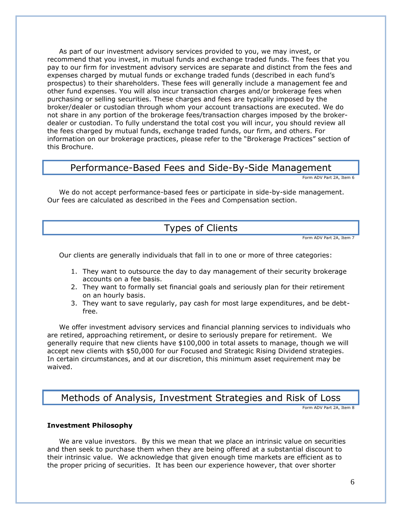As part of our investment advisory services provided to you, we may invest, or recommend that you invest, in mutual funds and exchange traded funds. The fees that you pay to our firm for investment advisory services are separate and distinct from the fees and expenses charged by mutual funds or exchange traded funds (described in each fund's prospectus) to their shareholders. These fees will generally include a management fee and other fund expenses. You will also incur transaction charges and/or brokerage fees when purchasing or selling securities. These charges and fees are typically imposed by the broker/dealer or custodian through whom your account transactions are executed. We do not share in any portion of the brokerage fees/transaction charges imposed by the brokerdealer or custodian. To fully understand the total cost you will incur, you should review all the fees charged by mutual funds, exchange traded funds, our firm, and others. For information on our brokerage practices, please refer to the "Brokerage Practices" section of this Brochure.

# Performance-Based Fees and Side-By-Side Management

Form ADV Part 2A, Item 6

We do not accept performance-based fees or participate in side-by-side management. Our fees are calculated as described in the Fees and Compensation section.

# Types of Clients

Form ADV Part 2A, Item 7

Our clients are generally individuals that fall in to one or more of three categories:

- 1. They want to outsource the day to day management of their security brokerage accounts on a fee basis.
- 2. They want to formally set financial goals and seriously plan for their retirement on an hourly basis.
- 3. They want to save regularly, pay cash for most large expenditures, and be debtfree.

We offer investment advisory services and financial planning services to individuals who are retired, approaching retirement, or desire to seriously prepare for retirement. We generally require that new clients have \$100,000 in total assets to manage, though we will accept new clients with \$50,000 for our Focused and Strategic Rising Dividend strategies. In certain circumstances, and at our discretion, this minimum asset requirement may be waived.

# Methods of Analysis, Investment Strategies and Risk of Loss

Form ADV Part 2A, Item 8

#### **Investment Philosophy**

We are value investors. By this we mean that we place an intrinsic value on securities and then seek to purchase them when they are being offered at a substantial discount to their intrinsic value. We acknowledge that given enough time markets are efficient as to the proper pricing of securities. It has been our experience however, that over shorter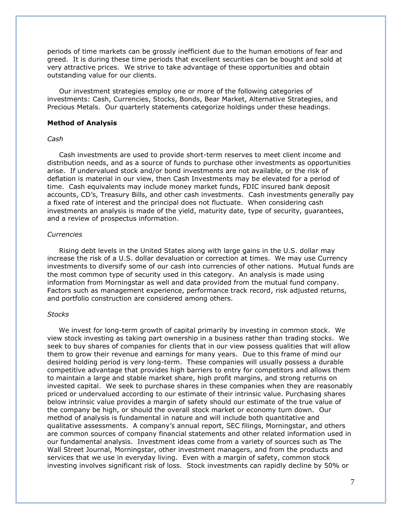periods of time markets can be grossly inefficient due to the human emotions of fear and greed. It is during these time periods that excellent securities can be bought and sold at very attractive prices. We strive to take advantage of these opportunities and obtain outstanding value for our clients.

Our investment strategies employ one or more of the following categories of investments: Cash, Currencies, Stocks, Bonds, Bear Market, Alternative Strategies, and Precious Metals. Our quarterly statements categorize holdings under these headings.

#### **Method of Analysis**

#### *Cash*

 Cash investments are used to provide short-term reserves to meet client income and distribution needs, and as a source of funds to purchase other investments as opportunities arise. If undervalued stock and/or bond investments are not available, or the risk of deflation is material in our view, then Cash Investments may be elevated for a period of time. Cash equivalents may include money market funds, FDIC insured bank deposit accounts, CD's, Treasury Bills, and other cash investments. Cash investments generally pay a fixed rate of interest and the principal does not fluctuate. When considering cash investments an analysis is made of the yield, maturity date, type of security, guarantees, and a review of prospectus information.

#### *Currencies*

Rising debt levels in the United States along with large gains in the U.S. dollar may increase the risk of a U.S. dollar devaluation or correction at times. We may use Currency investments to diversify some of our cash into currencies of other nations. Mutual funds are the most common type of security used in this category. An analysis is made using information from Morningstar as well and data provided from the mutual fund company. Factors such as management experience, performance track record, risk adjusted returns, and portfolio construction are considered among others.

#### *Stocks*

 We invest for long-term growth of capital primarily by investing in common stock. We view stock investing as taking part ownership in a business rather than trading stocks. We seek to buy shares of companies for clients that in our view possess qualities that will allow them to grow their revenue and earnings for many years. Due to this frame of mind our desired holding period is very long-term. These companies will usually possess a durable competitive advantage that provides high barriers to entry for competitors and allows them to maintain a large and stable market share, high profit margins, and strong returns on invested capital. We seek to purchase shares in these companies when they are reasonably priced or undervalued according to our estimate of their intrinsic value. Purchasing shares below intrinsic value provides a margin of safety should our estimate of the true value of the company be high, or should the overall stock market or economy turn down. Our method of analysis is fundamental in nature and will include both quantitative and qualitative assessments. A company's annual report, SEC filings, Morningstar, and others are common sources of company financial statements and other related information used in our fundamental analysis. Investment ideas come from a variety of sources such as The Wall Street Journal, Morningstar, other investment managers, and from the products and services that we use in everyday living. Even with a margin of safety, common stock investing involves significant risk of loss. Stock investments can rapidly decline by 50% or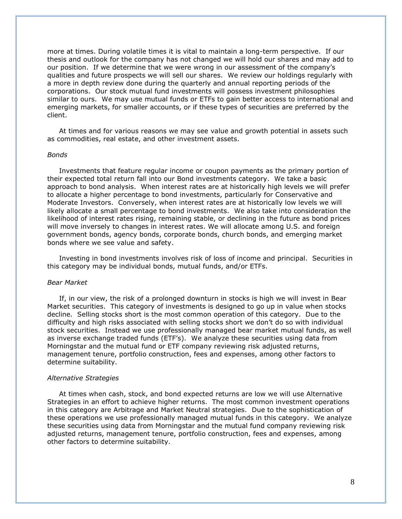more at times. During volatile times it is vital to maintain a long-term perspective. If our thesis and outlook for the company has not changed we will hold our shares and may add to our position. If we determine that we were wrong in our assessment of the company's qualities and future prospects we will sell our shares. We review our holdings regularly with a more in depth review done during the quarterly and annual reporting periods of the corporations. Our stock mutual fund investments will possess investment philosophies similar to ours. We may use mutual funds or ETFs to gain better access to international and emerging markets, for smaller accounts, or if these types of securities are preferred by the client.

At times and for various reasons we may see value and growth potential in assets such as commodities, real estate, and other investment assets.

#### *Bonds*

 Investments that feature regular income or coupon payments as the primary portion of their expected total return fall into our Bond investments category. We take a basic approach to bond analysis. When interest rates are at historically high levels we will prefer to allocate a higher percentage to bond investments, particularly for Conservative and Moderate Investors. Conversely, when interest rates are at historically low levels we will likely allocate a small percentage to bond investments. We also take into consideration the likelihood of interest rates rising, remaining stable, or declining in the future as bond prices will move inversely to changes in interest rates. We will allocate among U.S. and foreign government bonds, agency bonds, corporate bonds, church bonds, and emerging market bonds where we see value and safety.

Investing in bond investments involves risk of loss of income and principal. Securities in this category may be individual bonds, mutual funds, and/or ETFs.

#### *Bear Market*

 If, in our view, the risk of a prolonged downturn in stocks is high we will invest in Bear Market securities. This category of investments is designed to go up in value when stocks decline. Selling stocks short is the most common operation of this category. Due to the difficulty and high risks associated with selling stocks short we don't do so with individual stock securities. Instead we use professionally managed bear market mutual funds, as well as inverse exchange traded funds (ETF's). We analyze these securities using data from Morningstar and the mutual fund or ETF company reviewing risk adjusted returns, management tenure, portfolio construction, fees and expenses, among other factors to determine suitability.

#### *Alternative Strategies*

At times when cash, stock, and bond expected returns are low we will use Alternative Strategies in an effort to achieve higher returns. The most common investment operations in this category are Arbitrage and Market Neutral strategies. Due to the sophistication of these operations we use professionally managed mutual funds in this category. We analyze these securities using data from Morningstar and the mutual fund company reviewing risk adjusted returns, management tenure, portfolio construction, fees and expenses, among other factors to determine suitability.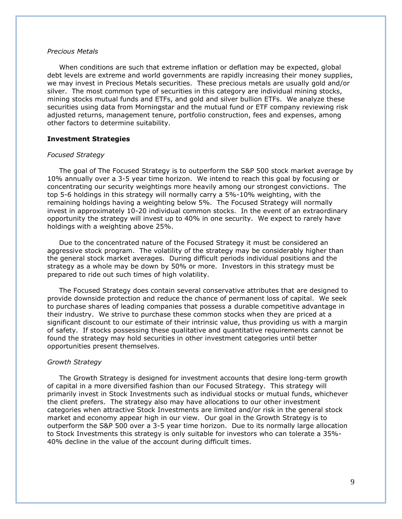#### *Precious Metals*

When conditions are such that extreme inflation or deflation may be expected, global debt levels are extreme and world governments are rapidly increasing their money supplies, we may invest in Precious Metals securities. These precious metals are usually gold and/or silver. The most common type of securities in this category are individual mining stocks, mining stocks mutual funds and ETFs, and gold and silver bullion ETFs. We analyze these securities using data from Morningstar and the mutual fund or ETF company reviewing risk adjusted returns, management tenure, portfolio construction, fees and expenses, among other factors to determine suitability.

#### **Investment Strategies**

#### *Focused Strategy*

The goal of The Focused Strategy is to outperform the S&P 500 stock market average by 10% annually over a 3-5 year time horizon. We intend to reach this goal by focusing or concentrating our security weightings more heavily among our strongest convictions. The top 5-6 holdings in this strategy will normally carry a 5%-10% weighting, with the remaining holdings having a weighting below 5%. The Focused Strategy will normally invest in approximately 10-20 individual common stocks. In the event of an extraordinary opportunity the strategy will invest up to 40% in one security. We expect to rarely have holdings with a weighting above 25%.

Due to the concentrated nature of the Focused Strategy it must be considered an aggressive stock program. The volatility of the strategy may be considerably higher than the general stock market averages. During difficult periods individual positions and the strategy as a whole may be down by 50% or more. Investors in this strategy must be prepared to ride out such times of high volatility.

The Focused Strategy does contain several conservative attributes that are designed to provide downside protection and reduce the chance of permanent loss of capital. We seek to purchase shares of leading companies that possess a durable competitive advantage in their industry. We strive to purchase these common stocks when they are priced at a significant discount to our estimate of their intrinsic value, thus providing us with a margin of safety. If stocks possessing these qualitative and quantitative requirements cannot be found the strategy may hold securities in other investment categories until better opportunities present themselves.

#### *Growth Strategy*

The Growth Strategy is designed for investment accounts that desire long-term growth of capital in a more diversified fashion than our Focused Strategy. This strategy will primarily invest in Stock Investments such as individual stocks or mutual funds, whichever the client prefers. The strategy also may have allocations to our other investment categories when attractive Stock Investments are limited and/or risk in the general stock market and economy appear high in our view. Our goal in the Growth Strategy is to outperform the S&P 500 over a 3-5 year time horizon. Due to its normally large allocation to Stock Investments this strategy is only suitable for investors who can tolerate a 35%- 40% decline in the value of the account during difficult times.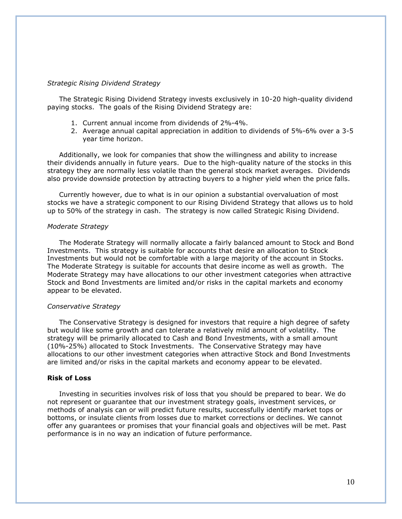#### *Strategic Rising Dividend Strategy*

The Strategic Rising Dividend Strategy invests exclusively in 10-20 high-quality dividend paying stocks. The goals of the Rising Dividend Strategy are:

- 1. Current annual income from dividends of 2%-4%.
- 2. Average annual capital appreciation in addition to dividends of 5%-6% over a 3-5 year time horizon.

Additionally, we look for companies that show the willingness and ability to increase their dividends annually in future years. Due to the high-quality nature of the stocks in this strategy they are normally less volatile than the general stock market averages. Dividends also provide downside protection by attracting buyers to a higher yield when the price falls.

Currently however, due to what is in our opinion a substantial overvaluation of most stocks we have a strategic component to our Rising Dividend Strategy that allows us to hold up to 50% of the strategy in cash. The strategy is now called Strategic Rising Dividend.

#### *Moderate Strategy*

The Moderate Strategy will normally allocate a fairly balanced amount to Stock and Bond Investments. This strategy is suitable for accounts that desire an allocation to Stock Investments but would not be comfortable with a large majority of the account in Stocks. The Moderate Strategy is suitable for accounts that desire income as well as growth. The Moderate Strategy may have allocations to our other investment categories when attractive Stock and Bond Investments are limited and/or risks in the capital markets and economy appear to be elevated.

#### *Conservative Strategy*

The Conservative Strategy is designed for investors that require a high degree of safety but would like some growth and can tolerate a relatively mild amount of volatility. The strategy will be primarily allocated to Cash and Bond Investments, with a small amount (10%-25%) allocated to Stock Investments. The Conservative Strategy may have allocations to our other investment categories when attractive Stock and Bond Investments are limited and/or risks in the capital markets and economy appear to be elevated.

#### **Risk of Loss**

 Investing in securities involves risk of loss that you should be prepared to bear. We do not represent or guarantee that our investment strategy goals, investment services, or methods of analysis can or will predict future results, successfully identify market tops or bottoms, or insulate clients from losses due to market corrections or declines. We cannot offer any guarantees or promises that your financial goals and objectives will be met. Past performance is in no way an indication of future performance.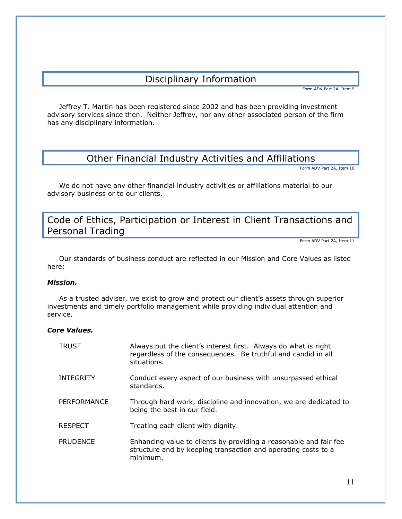# Disciplinary Information

Form ADV Part 2A, Item 9

Jeffrey T. Martin has been registered since 2002 and has been providing investment advisory services since then. Neither Jeffrey, nor any other associated person of the firm has any disciplinary information.

# Other Financial Industry Activities and Affiliations

Form ADV Part 2A, Item 10

We do not have any other financial industry activities or affiliations material to our advisory business or to our clients.

# Code of Ethics, Participation or Interest in Client Transactions and Personal Trading

Form ADV Part 2A, Item 11

Our standards of business conduct are reflected in our Mission and Core Values as listed here:

#### *Mission.*

As a trusted adviser, we exist to grow and protect our client's assets through superior investments and timely portfolio management while providing individual attention and service.

### *Core Values.*

| <b>TRUST</b>    | Always put the client's interest first. Always do what is right<br>regardless of the consequences. Be truthful and candid in all<br>situations. |
|-----------------|-------------------------------------------------------------------------------------------------------------------------------------------------|
| INTEGRITY       | Conduct every aspect of our business with unsurpassed ethical<br>standards.                                                                     |
| PERFORMANCE     | Through hard work, discipline and innovation, we are dedicated to<br>being the best in our field.                                               |
| <b>RESPECT</b>  | Treating each client with dignity.                                                                                                              |
| <b>PRUDENCE</b> | Enhancing value to clients by providing a reasonable and fair fee<br>structure and by keeping transaction and operating costs to a<br>minimum.  |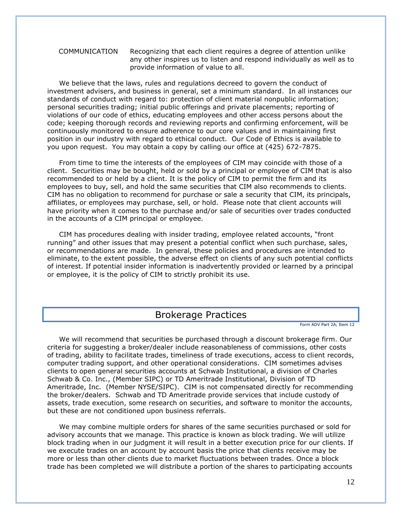COMMUNICATION Recognizing that each client requires a degree of attention unlike any other inspires us to listen and respond individually as well as to provide information of value to all.

We believe that the laws, rules and regulations decreed to govern the conduct of investment advisers, and business in general, set a minimum standard. In all instances our standards of conduct with regard to: protection of client material nonpublic information; personal securities trading; initial public offerings and private placements; reporting of violations of our code of ethics, educating employees and other access persons about the code; keeping thorough records and reviewing reports and confirming enforcement, will be continuously monitored to ensure adherence to our core values and in maintaining first position in our industry with regard to ethical conduct. Our Code of Ethics is available to you upon request. You may obtain a copy by calling our office at (425) 672-7875.

From time to time the interests of the employees of CIM may coincide with those of a client. Securities may be bought, held or sold by a principal or employee of CIM that is also recommended to or held by a client. It is the policy of CIM to permit the firm and its employees to buy, sell, and hold the same securities that CIM also recommends to clients. CIM has no obligation to recommend for purchase or sale a security that CIM, its principals, affiliates, or employees may purchase, sell, or hold. Please note that client accounts will have priority when it comes to the purchase and/or sale of securities over trades conducted in the accounts of a CIM principal or employee.

CIM has procedures dealing with insider trading, employee related accounts, "front running" and other issues that may present a potential conflict when such purchase, sales, or recommendations are made. In general, these policies and procedures are intended to eliminate, to the extent possible, the adverse effect on clients of any such potential conflicts of interest. If potential insider information is inadvertently provided or learned by a principal or employee, it is the policy of CIM to strictly prohibit its use.

# Brokerage Practices

Form ADV Part 2A, Item 12

 We will recommend that securities be purchased through a discount brokerage firm. Our criteria for suggesting a broker/dealer include reasonableness of commissions, other costs of trading, ability to facilitate trades, timeliness of trade executions, access to client records, computer trading support, and other operational considerations. CIM sometimes advises clients to open general securities accounts at Schwab Institutional, a division of Charles Schwab & Co. Inc., (Member SIPC) or TD Ameritrade Institutional, Division of TD Ameritrade, Inc. (Member NYSE/SIPC). CIM is not compensated directly for recommending the broker/dealers. Schwab and TD Ameritrade provide services that include custody of assets, trade execution, some research on securities, and software to monitor the accounts, but these are not conditioned upon business referrals.

 We may combine multiple orders for shares of the same securities purchased or sold for advisory accounts that we manage. This practice is known as block trading. We will utilize block trading when in our judgment it will result in a better execution price for our clients. If we execute trades on an account by account basis the price that clients receive may be more or less than other clients due to market fluctuations between trades. Once a block trade has been completed we will distribute a portion of the shares to participating accounts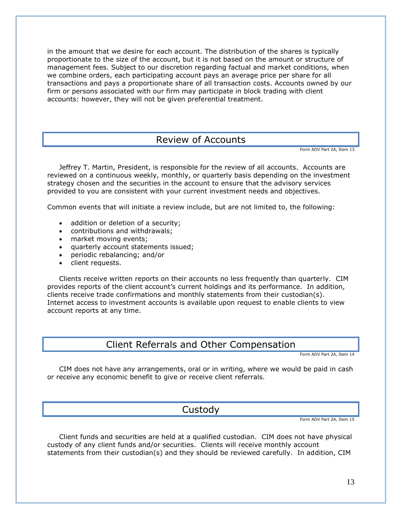in the amount that we desire for each account. The distribution of the shares is typically proportionate to the size of the account, but it is not based on the amount or structure of management fees. Subject to our discretion regarding factual and market conditions, when we combine orders, each participating account pays an average price per share for all transactions and pays a proportionate share of all transaction costs. Accounts owned by our firm or persons associated with our firm may participate in block trading with client accounts: however, they will not be given preferential treatment.

# Review of Accounts

Form ADV Part 2A, Item 13

Jeffrey T. Martin, President, is responsible for the review of all accounts. Accounts are reviewed on a continuous weekly, monthly, or quarterly basis depending on the investment strategy chosen and the securities in the account to ensure that the advisory services provided to you are consistent with your current investment needs and objectives.

Common events that will initiate a review include, but are not limited to, the following:

- addition or deletion of a security;
- contributions and withdrawals;
- market moving events:
- quarterly account statements issued;
- periodic rebalancing; and/or
- client requests.

Clients receive written reports on their accounts no less frequently than quarterly. CIM provides reports of the client account's current holdings and its performance. In addition, clients receive trade confirmations and monthly statements from their custodian(s). Internet access to investment accounts is available upon request to enable clients to view account reports at any time.

# Client Referrals and Other Compensation

Form ADV Part 2A, Item 14

CIM does not have any arrangements, oral or in writing, where we would be paid in cash or receive any economic benefit to give or receive client referrals.

# Custody

Form ADV Part 2A, Item 15

Client funds and securities are held at a qualified custodian. CIM does not have physical custody of any client funds and/or securities. Clients will receive monthly account statements from their custodian(s) and they should be reviewed carefully. In addition, CIM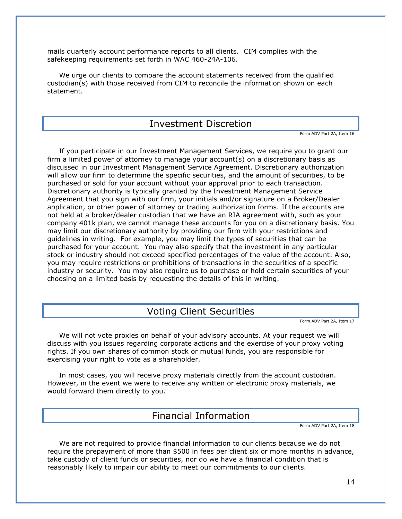mails quarterly account performance reports to all clients. CIM complies with the safekeeping requirements set forth in WAC 460-24A-106.

We urge our clients to compare the account statements received from the qualified custodian(s) with those received from CIM to reconcile the information shown on each statement.

### Investment Discretion

Form ADV Part 2A, Item 16

 If you participate in our Investment Management Services, we require you to grant our firm a limited power of attorney to manage your account(s) on a discretionary basis as discussed in our Investment Management Service Agreement. Discretionary authorization will allow our firm to determine the specific securities, and the amount of securities, to be purchased or sold for your account without your approval prior to each transaction. Discretionary authority is typically granted by the Investment Management Service Agreement that you sign with our firm, your initials and/or signature on a Broker/Dealer application, or other power of attorney or trading authorization forms. If the accounts are not held at a broker/dealer custodian that we have an RIA agreement with, such as your company 401k plan, we cannot manage these accounts for you on a discretionary basis. You may limit our discretionary authority by providing our firm with your restrictions and guidelines in writing. For example, you may limit the types of securities that can be purchased for your account. You may also specify that the investment in any particular stock or industry should not exceed specified percentages of the value of the account. Also, you may require restrictions or prohibitions of transactions in the securities of a specific industry or security. You may also require us to purchase or hold certain securities of your choosing on a limited basis by requesting the details of this in writing.

# Voting Client Securities

Form ADV Part 2A, Item 17

 We will not vote proxies on behalf of your advisory accounts. At your request we will discuss with you issues regarding corporate actions and the exercise of your proxy voting rights. If you own shares of common stock or mutual funds, you are responsible for exercising your right to vote as a shareholder.

In most cases, you will receive proxy materials directly from the account custodian. However, in the event we were to receive any written or electronic proxy materials, we would forward them directly to you.

# Financial Information

Form ADV Part 2A, Item 18

We are not required to provide financial information to our clients because we do not require the prepayment of more than \$500 in fees per client six or more months in advance, take custody of client funds or securities, nor do we have a financial condition that is reasonably likely to impair our ability to meet our commitments to our clients.